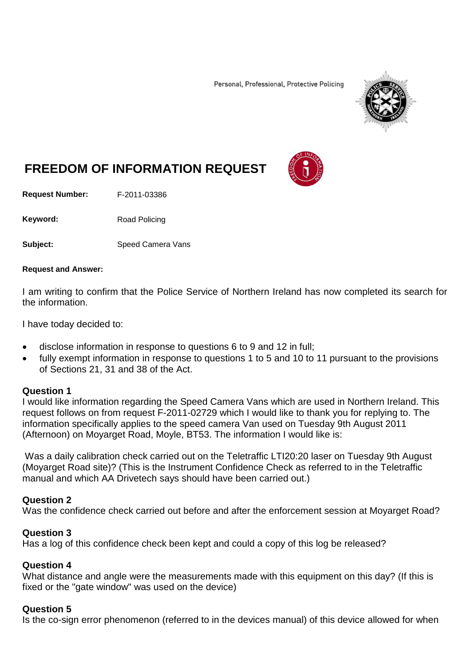Personal, Professional, Protective Policing



# **FREEDOM OF INFORMATION REQUEST**

**Request Number:** F-2011-03386

Keyword: Road Policing

**Subject:** Speed Camera Vans

#### **Request and Answer:**

I am writing to confirm that the Police Service of Northern Ireland has now completed its search for the information.

I have today decided to:

- disclose information in response to questions 6 to 9 and 12 in full;
- fully exempt information in response to questions 1 to 5 and 10 to 11 pursuant to the provisions of Sections 21, 31 and 38 of the Act.

#### **Question 1**

I would like information regarding the Speed Camera Vans which are used in Northern Ireland. This request follows on from request F-2011-02729 which I would like to thank you for replying to. The information specifically applies to the speed camera Van used on Tuesday 9th August 2011 (Afternoon) on Moyarget Road, Moyle, BT53. The information I would like is:

Was a daily calibration check carried out on the Teletraffic LTI20:20 laser on Tuesday 9th August (Moyarget Road site)? (This is the Instrument Confidence Check as referred to in the Teletraffic manual and which AA Drivetech says should have been carried out.)

#### **Question 2**

Was the confidence check carried out before and after the enforcement session at Moyarget Road?

#### **Question 3**

Has a log of this confidence check been kept and could a copy of this log be released?

#### **Question 4**

What distance and angle were the measurements made with this equipment on this day? (If this is fixed or the "gate window" was used on the device)

#### **Question 5**

Is the co-sign error phenomenon (referred to in the devices manual) of this device allowed for when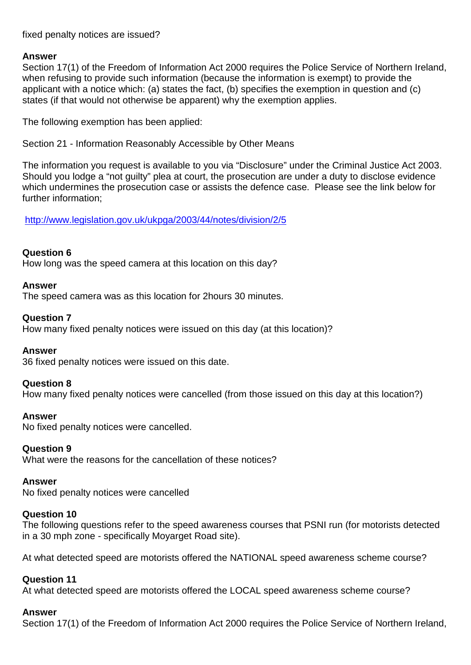fixed penalty notices are issued?

# **Answer**

Section 17(1) of the Freedom of Information Act 2000 requires the Police Service of Northern Ireland, when refusing to provide such information (because the information is exempt) to provide the applicant with a notice which: (a) states the fact, (b) specifies the exemption in question and (c) states (if that would not otherwise be apparent) why the exemption applies.

The following exemption has been applied:

Section 21 - Information Reasonably Accessible by Other Means

The information you request is available to you via "Disclosure" under the Criminal Justice Act 2003. Should you lodge a "not guilty" plea at court, the prosecution are under a duty to disclose evidence which undermines the prosecution case or assists the defence case. Please see the link below for further information;

<http://www.legislation.gov.uk/ukpga/2003/44/notes/division/2/5>

# **Question 6**

How long was the speed camera at this location on this day?

# **Answer**

The speed camera was as this location for 2hours 30 minutes.

# **Question 7**

How many fixed penalty notices were issued on this day (at this location)?

# **Answer**

36 fixed penalty notices were issued on this date.

# **Question 8**

How many fixed penalty notices were cancelled (from those issued on this day at this location?)

# **Answer**

No fixed penalty notices were cancelled.

# **Question 9**

What were the reasons for the cancellation of these notices?

#### **Answer**

No fixed penalty notices were cancelled

# **Question 10**

The following questions refer to the speed awareness courses that PSNI run (for motorists detected in a 30 mph zone - specifically Moyarget Road site).

At what detected speed are motorists offered the NATIONAL speed awareness scheme course?

# **Question 11**

At what detected speed are motorists offered the LOCAL speed awareness scheme course?

# **Answer**

Section 17(1) of the Freedom of Information Act 2000 requires the Police Service of Northern Ireland,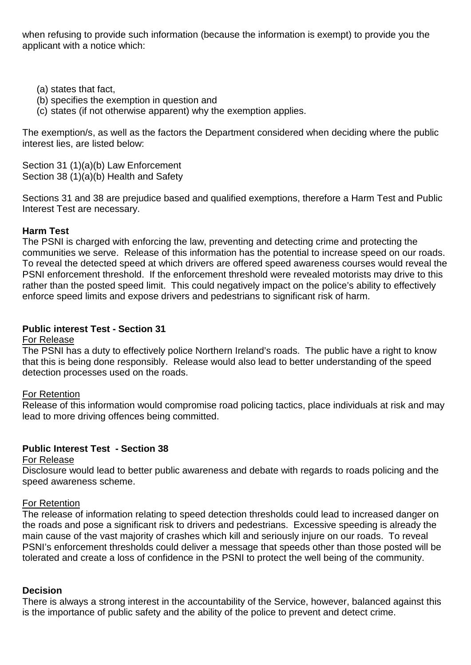when refusing to provide such information (because the information is exempt) to provide you the applicant with a notice which:

- (a) states that fact,
- (b) specifies the exemption in question and
- (c) states (if not otherwise apparent) why the exemption applies.

The exemption/s, as well as the factors the Department considered when deciding where the public interest lies, are listed below:

Section 31 (1)(a)(b) Law Enforcement Section 38 (1)(a)(b) Health and Safety

Sections 31 and 38 are prejudice based and qualified exemptions, therefore a Harm Test and Public Interest Test are necessary.

# **Harm Test**

The PSNI is charged with enforcing the law, preventing and detecting crime and protecting the communities we serve. Release of this information has the potential to increase speed on our roads. To reveal the detected speed at which drivers are offered speed awareness courses would reveal the PSNI enforcement threshold. If the enforcement threshold were revealed motorists may drive to this rather than the posted speed limit. This could negatively impact on the police's ability to effectively enforce speed limits and expose drivers and pedestrians to significant risk of harm.

# **Public interest Test - Section 31**

# For Release

The PSNI has a duty to effectively police Northern Ireland's roads. The public have a right to know that this is being done responsibly. Release would also lead to better understanding of the speed detection processes used on the roads.

# For Retention

Release of this information would compromise road policing tactics, place individuals at risk and may lead to more driving offences being committed.

# **Public Interest Test - Section 38**

# For Release

Disclosure would lead to better public awareness and debate with regards to roads policing and the speed awareness scheme.

# For Retention

The release of information relating to speed detection thresholds could lead to increased danger on the roads and pose a significant risk to drivers and pedestrians. Excessive speeding is already the main cause of the vast majority of crashes which kill and seriously injure on our roads. To reveal PSNI's enforcement thresholds could deliver a message that speeds other than those posted will be tolerated and create a loss of confidence in the PSNI to protect the well being of the community.

# **Decision**

There is always a strong interest in the accountability of the Service, however, balanced against this is the importance of public safety and the ability of the police to prevent and detect crime.